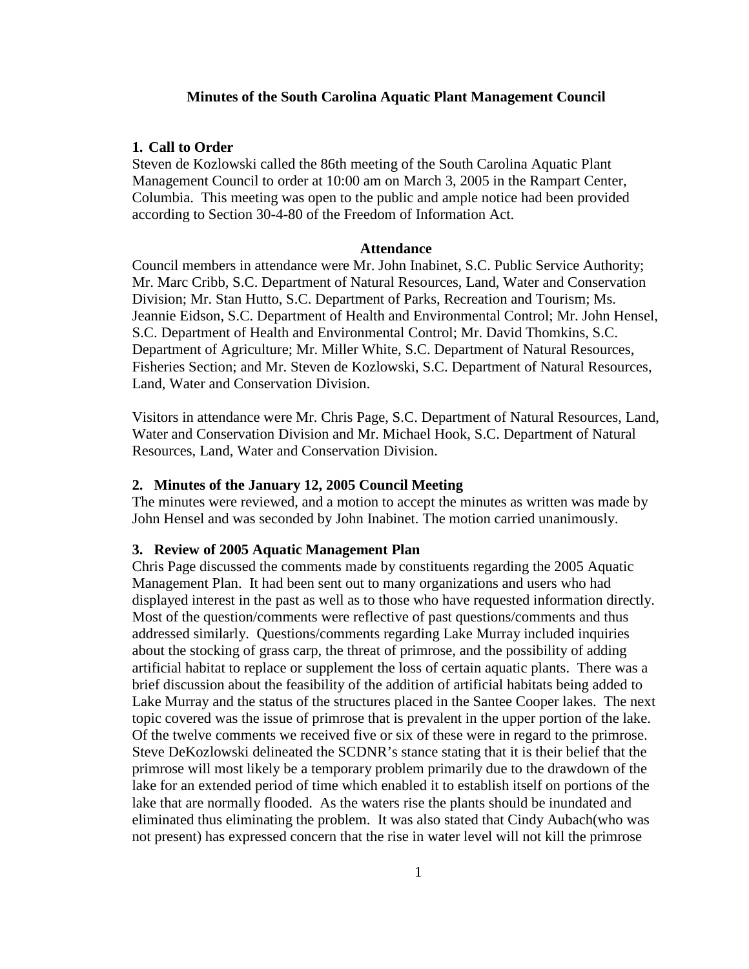## **Minutes of the South Carolina Aquatic Plant Management Council**

### **1. Call to Order**

Steven de Kozlowski called the 86th meeting of the South Carolina Aquatic Plant Management Council to order at 10:00 am on March 3, 2005 in the Rampart Center, Columbia. This meeting was open to the public and ample notice had been provided according to Section 30-4-80 of the Freedom of Information Act.

### **Attendance**

Council members in attendance were Mr. John Inabinet, S.C. Public Service Authority; Mr. Marc Cribb, S.C. Department of Natural Resources, Land, Water and Conservation Division; Mr. Stan Hutto, S.C. Department of Parks, Recreation and Tourism; Ms. Jeannie Eidson, S.C. Department of Health and Environmental Control; Mr. John Hensel, S.C. Department of Health and Environmental Control; Mr. David Thomkins, S.C. Department of Agriculture; Mr. Miller White, S.C. Department of Natural Resources, Fisheries Section; and Mr. Steven de Kozlowski, S.C. Department of Natural Resources, Land, Water and Conservation Division.

Visitors in attendance were Mr. Chris Page, S.C. Department of Natural Resources, Land, Water and Conservation Division and Mr. Michael Hook, S.C. Department of Natural Resources, Land, Water and Conservation Division.

## **2. Minutes of the January 12, 2005 Council Meeting**

The minutes were reviewed, and a motion to accept the minutes as written was made by John Hensel and was seconded by John Inabinet. The motion carried unanimously.

#### **3. Review of 2005 Aquatic Management Plan**

Chris Page discussed the comments made by constituents regarding the 2005 Aquatic Management Plan. It had been sent out to many organizations and users who had displayed interest in the past as well as to those who have requested information directly. Most of the question/comments were reflective of past questions/comments and thus addressed similarly. Questions/comments regarding Lake Murray included inquiries about the stocking of grass carp, the threat of primrose, and the possibility of adding artificial habitat to replace or supplement the loss of certain aquatic plants. There was a brief discussion about the feasibility of the addition of artificial habitats being added to Lake Murray and the status of the structures placed in the Santee Cooper lakes. The next topic covered was the issue of primrose that is prevalent in the upper portion of the lake. Of the twelve comments we received five or six of these were in regard to the primrose. Steve DeKozlowski delineated the SCDNR's stance stating that it is their belief that the primrose will most likely be a temporary problem primarily due to the drawdown of the lake for an extended period of time which enabled it to establish itself on portions of the lake that are normally flooded. As the waters rise the plants should be inundated and eliminated thus eliminating the problem. It was also stated that Cindy Aubach(who was not present) has expressed concern that the rise in water level will not kill the primrose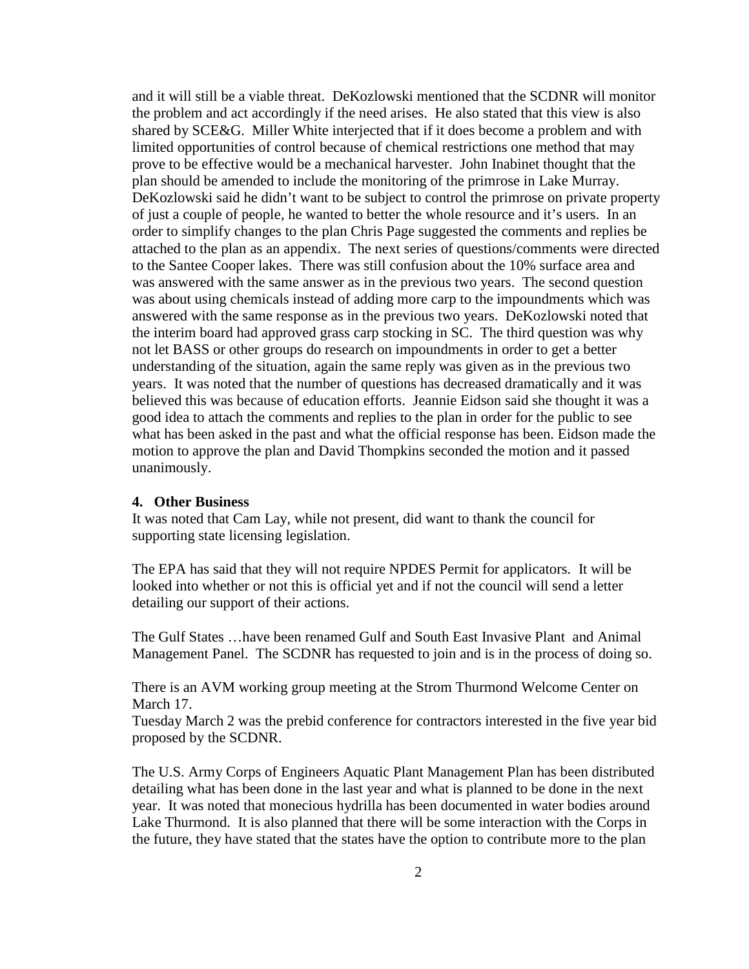and it will still be a viable threat. DeKozlowski mentioned that the SCDNR will monitor the problem and act accordingly if the need arises. He also stated that this view is also shared by SCE&G. Miller White interjected that if it does become a problem and with limited opportunities of control because of chemical restrictions one method that may prove to be effective would be a mechanical harvester. John Inabinet thought that the plan should be amended to include the monitoring of the primrose in Lake Murray. DeKozlowski said he didn't want to be subject to control the primrose on private property of just a couple of people, he wanted to better the whole resource and it's users. In an order to simplify changes to the plan Chris Page suggested the comments and replies be attached to the plan as an appendix. The next series of questions/comments were directed to the Santee Cooper lakes. There was still confusion about the 10% surface area and was answered with the same answer as in the previous two years. The second question was about using chemicals instead of adding more carp to the impoundments which was answered with the same response as in the previous two years. DeKozlowski noted that the interim board had approved grass carp stocking in SC. The third question was why not let BASS or other groups do research on impoundments in order to get a better understanding of the situation, again the same reply was given as in the previous two years. It was noted that the number of questions has decreased dramatically and it was believed this was because of education efforts. Jeannie Eidson said she thought it was a good idea to attach the comments and replies to the plan in order for the public to see what has been asked in the past and what the official response has been. Eidson made the motion to approve the plan and David Thompkins seconded the motion and it passed unanimously.

#### **4. Other Business**

It was noted that Cam Lay, while not present, did want to thank the council for supporting state licensing legislation.

The EPA has said that they will not require NPDES Permit for applicators. It will be looked into whether or not this is official yet and if not the council will send a letter detailing our support of their actions.

The Gulf States …have been renamed Gulf and South East Invasive Plant and Animal Management Panel. The SCDNR has requested to join and is in the process of doing so.

There is an AVM working group meeting at the Strom Thurmond Welcome Center on March 17.

Tuesday March 2 was the prebid conference for contractors interested in the five year bid proposed by the SCDNR.

The U.S. Army Corps of Engineers Aquatic Plant Management Plan has been distributed detailing what has been done in the last year and what is planned to be done in the next year. It was noted that monecious hydrilla has been documented in water bodies around Lake Thurmond. It is also planned that there will be some interaction with the Corps in the future, they have stated that the states have the option to contribute more to the plan